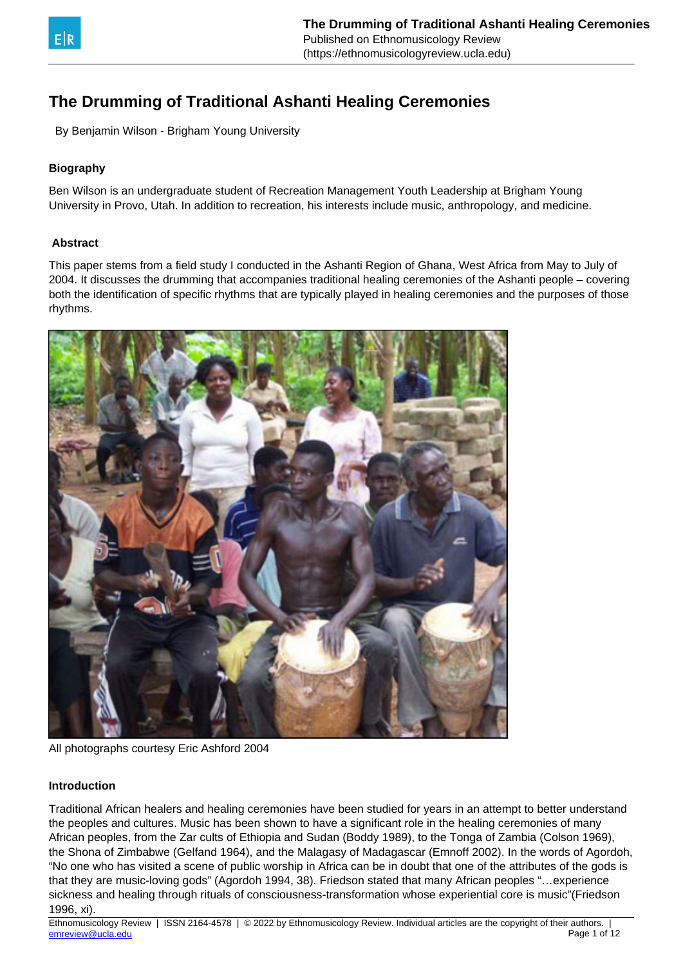

By Benjamin Wilson - Brigham Young University

## **Biography**

Ben Wilson is an undergraduate student of Recreation Management Youth Leadership at Brigham Young University in Provo, Utah. In addition to recreation, his interests include music, anthropology, and medicine.

## **Abstract**

This paper stems from a field study I conducted in the Ashanti Region of Ghana, West Africa from May to July of 2004. It discusses the drumming that accompanies traditional healing ceremonies of the Ashanti people – covering both the identification of specific rhythms that are typically played in healing ceremonies and the purposes of those rhythms.



All photographs courtesy Eric Ashford 2004

## **Introduction**

Traditional African healers and healing ceremonies have been studied for years in an attempt to better understand the peoples and cultures. Music has been shown to have a significant role in the healing ceremonies of many African peoples, from the Zar cults of Ethiopia and Sudan (Boddy 1989), to the Tonga of Zambia (Colson 1969), the Shona of Zimbabwe (Gelfand 1964), and the Malagasy of Madagascar (Emnoff 2002). In the words of Agordoh, "No one who has visited a scene of public worship in Africa can be in doubt that one of the attributes of the gods is that they are music-loving gods" (Agordoh 1994, 38). Friedson stated that many African peoples "…experience sickness and healing through rituals of consciousness-transformation whose experiential core is music"(Friedson 1996, xi).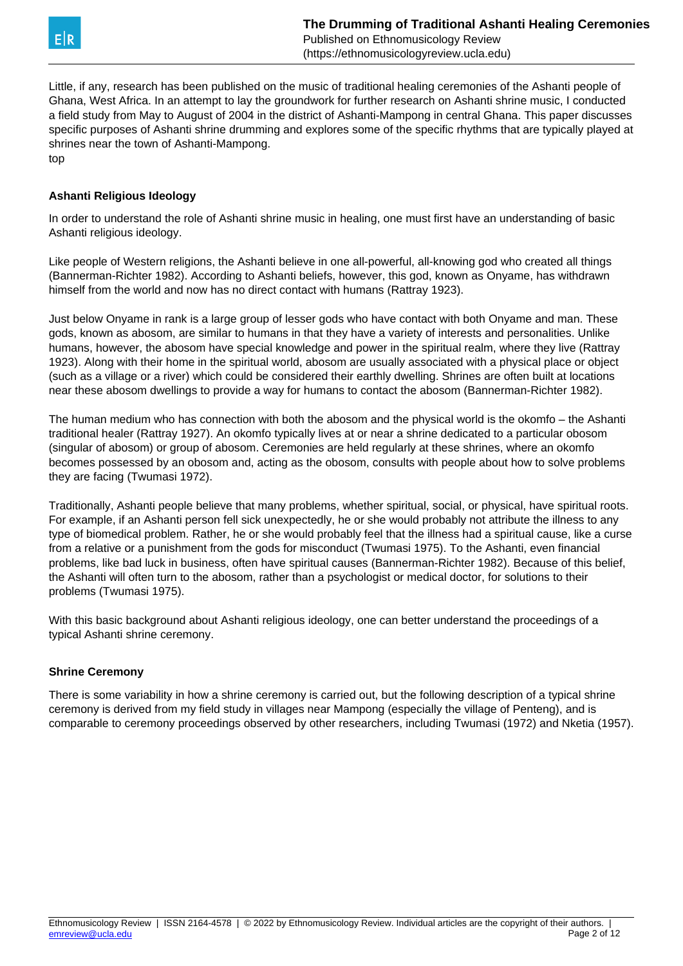

Little, if any, research has been published on the music of traditional healing ceremonies of the Ashanti people of Ghana, West Africa. In an attempt to lay the groundwork for further research on Ashanti shrine music, I conducted a field study from May to August of 2004 in the district of Ashanti-Mampong in central Ghana. This paper discusses specific purposes of Ashanti shrine drumming and explores some of the specific rhythms that are typically played at shrines near the town of Ashanti-Mampong. top

## **Ashanti Religious Ideology**

In order to understand the role of Ashanti shrine music in healing, one must first have an understanding of basic Ashanti religious ideology.

Like people of Western religions, the Ashanti believe in one all-powerful, all-knowing god who created all things (Bannerman-Richter 1982). According to Ashanti beliefs, however, this god, known as Onyame, has withdrawn himself from the world and now has no direct contact with humans (Rattray 1923).

Just below Onyame in rank is a large group of lesser gods who have contact with both Onyame and man. These gods, known as abosom, are similar to humans in that they have a variety of interests and personalities. Unlike humans, however, the abosom have special knowledge and power in the spiritual realm, where they live (Rattray 1923). Along with their home in the spiritual world, abosom are usually associated with a physical place or object (such as a village or a river) which could be considered their earthly dwelling. Shrines are often built at locations near these abosom dwellings to provide a way for humans to contact the abosom (Bannerman-Richter 1982).

The human medium who has connection with both the abosom and the physical world is the okomfo – the Ashanti traditional healer (Rattray 1927). An okomfo typically lives at or near a shrine dedicated to a particular obosom (singular of abosom) or group of abosom. Ceremonies are held regularly at these shrines, where an okomfo becomes possessed by an obosom and, acting as the obosom, consults with people about how to solve problems they are facing (Twumasi 1972).

Traditionally, Ashanti people believe that many problems, whether spiritual, social, or physical, have spiritual roots. For example, if an Ashanti person fell sick unexpectedly, he or she would probably not attribute the illness to any type of biomedical problem. Rather, he or she would probably feel that the illness had a spiritual cause, like a curse from a relative or a punishment from the gods for misconduct (Twumasi 1975). To the Ashanti, even financial problems, like bad luck in business, often have spiritual causes (Bannerman-Richter 1982). Because of this belief, the Ashanti will often turn to the abosom, rather than a psychologist or medical doctor, for solutions to their problems (Twumasi 1975).

With this basic background about Ashanti religious ideology, one can better understand the proceedings of a typical Ashanti shrine ceremony.

## **Shrine Ceremony**

There is some variability in how a shrine ceremony is carried out, but the following description of a typical shrine ceremony is derived from my field study in villages near Mampong (especially the village of Penteng), and is comparable to ceremony proceedings observed by other researchers, including Twumasi (1972) and Nketia (1957).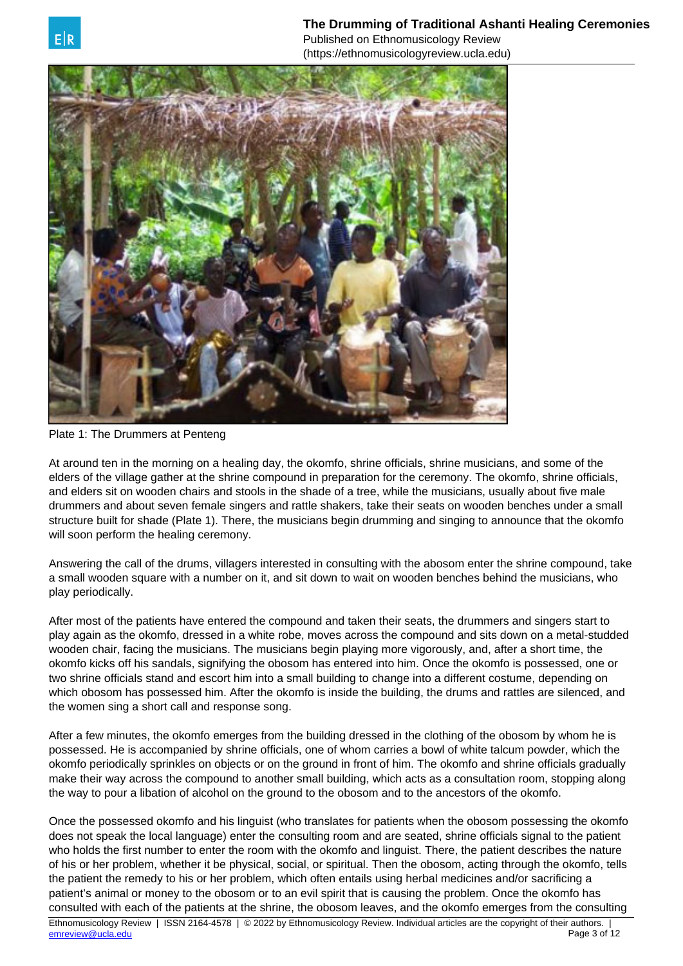Published on Ethnomusicology Review (https://ethnomusicologyreview.ucla.edu)



Plate 1: The Drummers at Penteng

At around ten in the morning on a healing day, the okomfo, shrine officials, shrine musicians, and some of the elders of the village gather at the shrine compound in preparation for the ceremony. The okomfo, shrine officials, and elders sit on wooden chairs and stools in the shade of a tree, while the musicians, usually about five male drummers and about seven female singers and rattle shakers, take their seats on wooden benches under a small structure built for shade (Plate 1). There, the musicians begin drumming and singing to announce that the okomfo will soon perform the healing ceremony.

Answering the call of the drums, villagers interested in consulting with the abosom enter the shrine compound, take a small wooden square with a number on it, and sit down to wait on wooden benches behind the musicians, who play periodically.

After most of the patients have entered the compound and taken their seats, the drummers and singers start to play again as the okomfo, dressed in a white robe, moves across the compound and sits down on a metal-studded wooden chair, facing the musicians. The musicians begin playing more vigorously, and, after a short time, the okomfo kicks off his sandals, signifying the obosom has entered into him. Once the okomfo is possessed, one or two shrine officials stand and escort him into a small building to change into a different costume, depending on which obosom has possessed him. After the okomfo is inside the building, the drums and rattles are silenced, and the women sing a short call and response song.

After a few minutes, the okomfo emerges from the building dressed in the clothing of the obosom by whom he is possessed. He is accompanied by shrine officials, one of whom carries a bowl of white talcum powder, which the okomfo periodically sprinkles on objects or on the ground in front of him. The okomfo and shrine officials gradually make their way across the compound to another small building, which acts as a consultation room, stopping along the way to pour a libation of alcohol on the ground to the obosom and to the ancestors of the okomfo.

Once the possessed okomfo and his linguist (who translates for patients when the obosom possessing the okomfo does not speak the local language) enter the consulting room and are seated, shrine officials signal to the patient who holds the first number to enter the room with the okomfo and linguist. There, the patient describes the nature of his or her problem, whether it be physical, social, or spiritual. Then the obosom, acting through the okomfo, tells the patient the remedy to his or her problem, which often entails using herbal medicines and/or sacrificing a patient's animal or money to the obosom or to an evil spirit that is causing the problem. Once the okomfo has consulted with each of the patients at the shrine, the obosom leaves, and the okomfo emerges from the consulting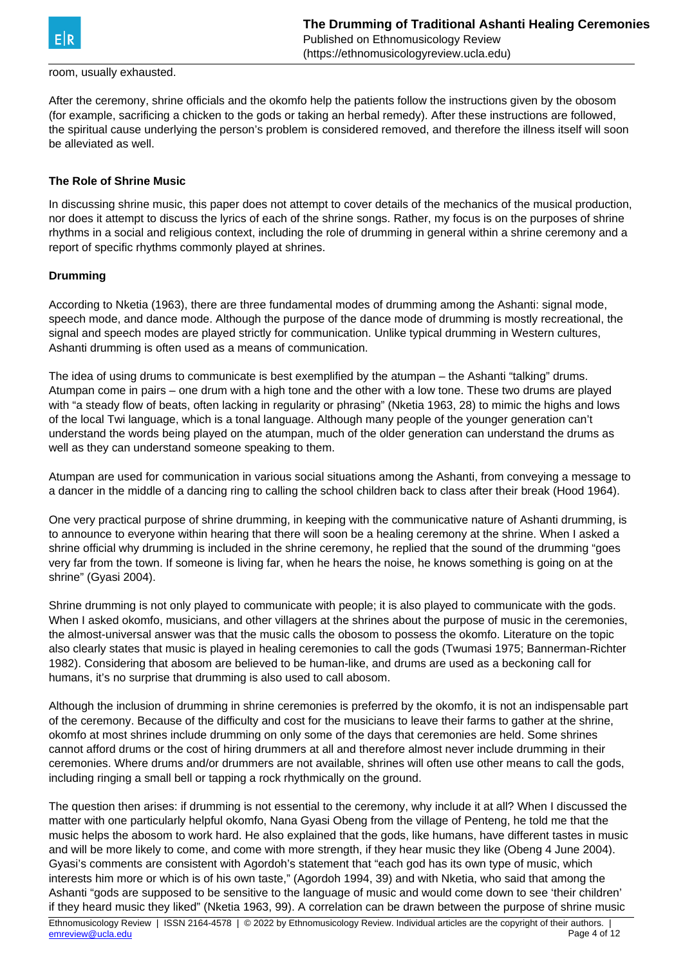

## room, usually exhausted.

After the ceremony, shrine officials and the okomfo help the patients follow the instructions given by the obosom (for example, sacrificing a chicken to the gods or taking an herbal remedy). After these instructions are followed, the spiritual cause underlying the person's problem is considered removed, and therefore the illness itself will soon be alleviated as well.

## **The Role of Shrine Music**

In discussing shrine music, this paper does not attempt to cover details of the mechanics of the musical production, nor does it attempt to discuss the lyrics of each of the shrine songs. Rather, my focus is on the purposes of shrine rhythms in a social and religious context, including the role of drumming in general within a shrine ceremony and a report of specific rhythms commonly played at shrines.

## **Drumming**

According to Nketia (1963), there are three fundamental modes of drumming among the Ashanti: signal mode, speech mode, and dance mode. Although the purpose of the dance mode of drumming is mostly recreational, the signal and speech modes are played strictly for communication. Unlike typical drumming in Western cultures, Ashanti drumming is often used as a means of communication.

The idea of using drums to communicate is best exemplified by the atumpan – the Ashanti "talking" drums. Atumpan come in pairs – one drum with a high tone and the other with a low tone. These two drums are played with "a steady flow of beats, often lacking in regularity or phrasing" (Nketia 1963, 28) to mimic the highs and lows of the local Twi language, which is a tonal language. Although many people of the younger generation can't understand the words being played on the atumpan, much of the older generation can understand the drums as well as they can understand someone speaking to them.

Atumpan are used for communication in various social situations among the Ashanti, from conveying a message to a dancer in the middle of a dancing ring to calling the school children back to class after their break (Hood 1964).

One very practical purpose of shrine drumming, in keeping with the communicative nature of Ashanti drumming, is to announce to everyone within hearing that there will soon be a healing ceremony at the shrine. When I asked a shrine official why drumming is included in the shrine ceremony, he replied that the sound of the drumming "goes very far from the town. If someone is living far, when he hears the noise, he knows something is going on at the shrine" (Gyasi 2004).

Shrine drumming is not only played to communicate with people; it is also played to communicate with the gods. When I asked okomfo, musicians, and other villagers at the shrines about the purpose of music in the ceremonies, the almost-universal answer was that the music calls the obosom to possess the okomfo. Literature on the topic also clearly states that music is played in healing ceremonies to call the gods (Twumasi 1975; Bannerman-Richter 1982). Considering that abosom are believed to be human-like, and drums are used as a beckoning call for humans, it's no surprise that drumming is also used to call abosom.

Although the inclusion of drumming in shrine ceremonies is preferred by the okomfo, it is not an indispensable part of the ceremony. Because of the difficulty and cost for the musicians to leave their farms to gather at the shrine, okomfo at most shrines include drumming on only some of the days that ceremonies are held. Some shrines cannot afford drums or the cost of hiring drummers at all and therefore almost never include drumming in their ceremonies. Where drums and/or drummers are not available, shrines will often use other means to call the gods, including ringing a small bell or tapping a rock rhythmically on the ground.

The question then arises: if drumming is not essential to the ceremony, why include it at all? When I discussed the matter with one particularly helpful okomfo, Nana Gyasi Obeng from the village of Penteng, he told me that the music helps the abosom to work hard. He also explained that the gods, like humans, have different tastes in music and will be more likely to come, and come with more strength, if they hear music they like (Obeng 4 June 2004). Gyasi's comments are consistent with Agordoh's statement that "each god has its own type of music, which interests him more or which is of his own taste," (Agordoh 1994, 39) and with Nketia, who said that among the Ashanti "gods are supposed to be sensitive to the language of music and would come down to see 'their children' if they heard music they liked" (Nketia 1963, 99). A correlation can be drawn between the purpose of shrine music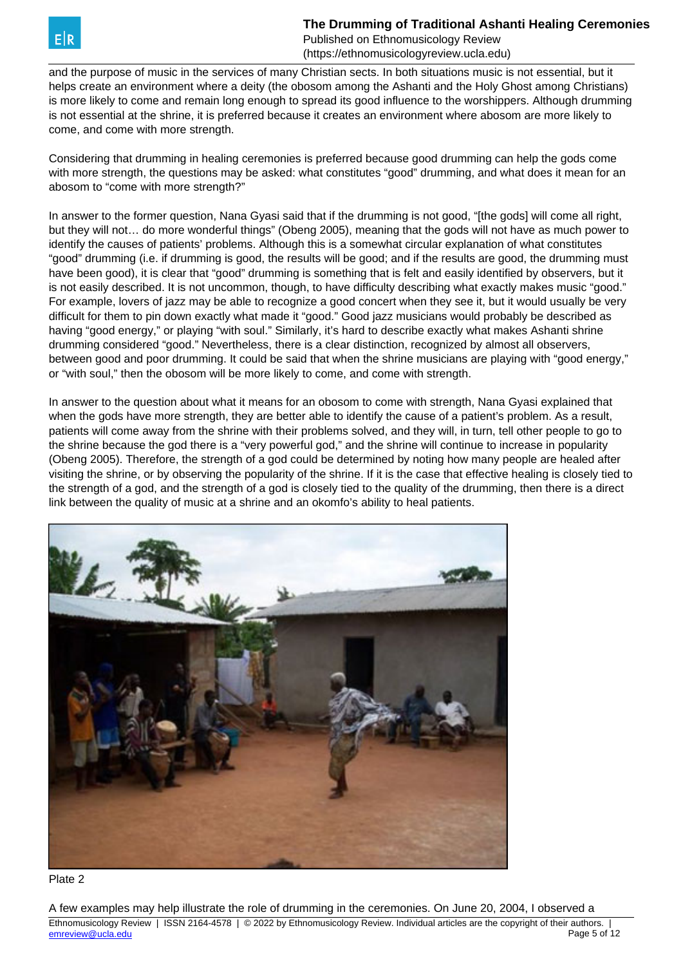

and the purpose of music in the services of many Christian sects. In both situations music is not essential, but it helps create an environment where a deity (the obosom among the Ashanti and the Holy Ghost among Christians) is more likely to come and remain long enough to spread its good influence to the worshippers. Although drumming is not essential at the shrine, it is preferred because it creates an environment where abosom are more likely to come, and come with more strength.

Considering that drumming in healing ceremonies is preferred because good drumming can help the gods come with more strength, the questions may be asked: what constitutes "good" drumming, and what does it mean for an abosom to "come with more strength?"

In answer to the former question, Nana Gyasi said that if the drumming is not good, "[the gods] will come all right, but they will not… do more wonderful things" (Obeng 2005), meaning that the gods will not have as much power to identify the causes of patients' problems. Although this is a somewhat circular explanation of what constitutes "good" drumming (i.e. if drumming is good, the results will be good; and if the results are good, the drumming must have been good), it is clear that "good" drumming is something that is felt and easily identified by observers, but it is not easily described. It is not uncommon, though, to have difficulty describing what exactly makes music "good." For example, lovers of jazz may be able to recognize a good concert when they see it, but it would usually be very difficult for them to pin down exactly what made it "good." Good jazz musicians would probably be described as having "good energy," or playing "with soul." Similarly, it's hard to describe exactly what makes Ashanti shrine drumming considered "good." Nevertheless, there is a clear distinction, recognized by almost all observers, between good and poor drumming. It could be said that when the shrine musicians are playing with "good energy," or "with soul," then the obosom will be more likely to come, and come with strength.

In answer to the question about what it means for an obosom to come with strength, Nana Gyasi explained that when the gods have more strength, they are better able to identify the cause of a patient's problem. As a result, patients will come away from the shrine with their problems solved, and they will, in turn, tell other people to go to the shrine because the god there is a "very powerful god," and the shrine will continue to increase in popularity (Obeng 2005). Therefore, the strength of a god could be determined by noting how many people are healed after visiting the shrine, or by observing the popularity of the shrine. If it is the case that effective healing is closely tied to the strength of a god, and the strength of a god is closely tied to the quality of the drumming, then there is a direct link between the quality of music at a shrine and an okomfo's ability to heal patients.



Plate 2

A few examples may help illustrate the role of drumming in the ceremonies. On June 20, 2004, I observed a Ethnomusicology Review | ISSN 2164-4578 | © 2022 by Ethnomusicology Review. Individual articles are the copyright of their authors. | emreview @ucla.edu Page 5 of 12 [emreview@ucla.edu](mailto:emreview@ucla.edu)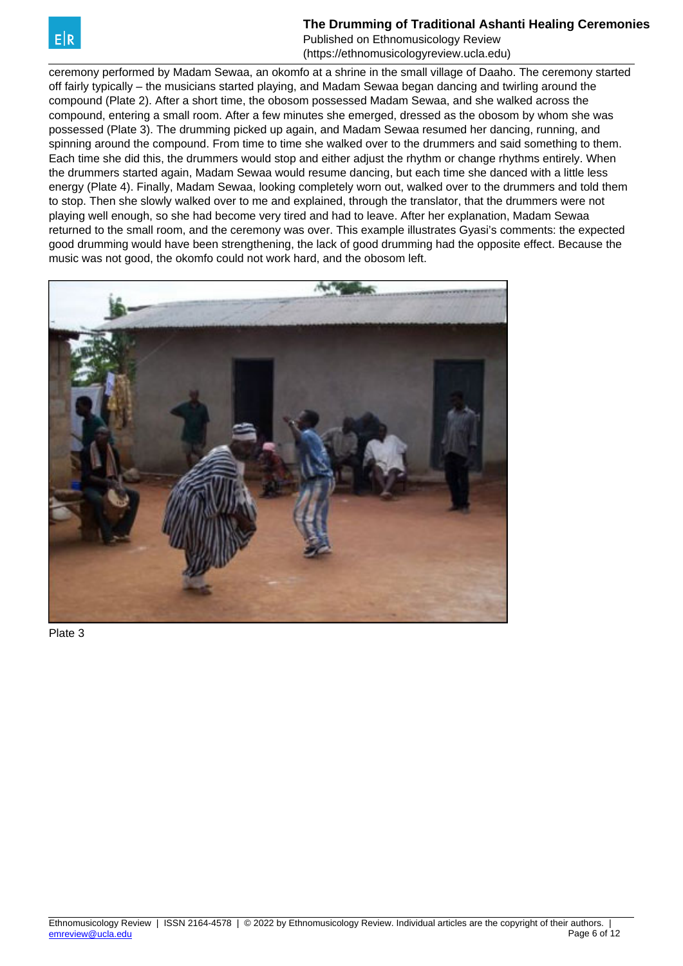

Published on Ethnomusicology Review (https://ethnomusicologyreview.ucla.edu)

ceremony performed by Madam Sewaa, an okomfo at a shrine in the small village of Daaho. The ceremony started off fairly typically – the musicians started playing, and Madam Sewaa began dancing and twirling around the compound (Plate 2). After a short time, the obosom possessed Madam Sewaa, and she walked across the compound, entering a small room. After a few minutes she emerged, dressed as the obosom by whom she was possessed (Plate 3). The drumming picked up again, and Madam Sewaa resumed her dancing, running, and spinning around the compound. From time to time she walked over to the drummers and said something to them. Each time she did this, the drummers would stop and either adjust the rhythm or change rhythms entirely. When the drummers started again, Madam Sewaa would resume dancing, but each time she danced with a little less energy (Plate 4). Finally, Madam Sewaa, looking completely worn out, walked over to the drummers and told them to stop. Then she slowly walked over to me and explained, through the translator, that the drummers were not playing well enough, so she had become very tired and had to leave. After her explanation, Madam Sewaa returned to the small room, and the ceremony was over. This example illustrates Gyasi's comments: the expected good drumming would have been strengthening, the lack of good drumming had the opposite effect. Because the music was not good, the okomfo could not work hard, and the obosom left.



Plate 3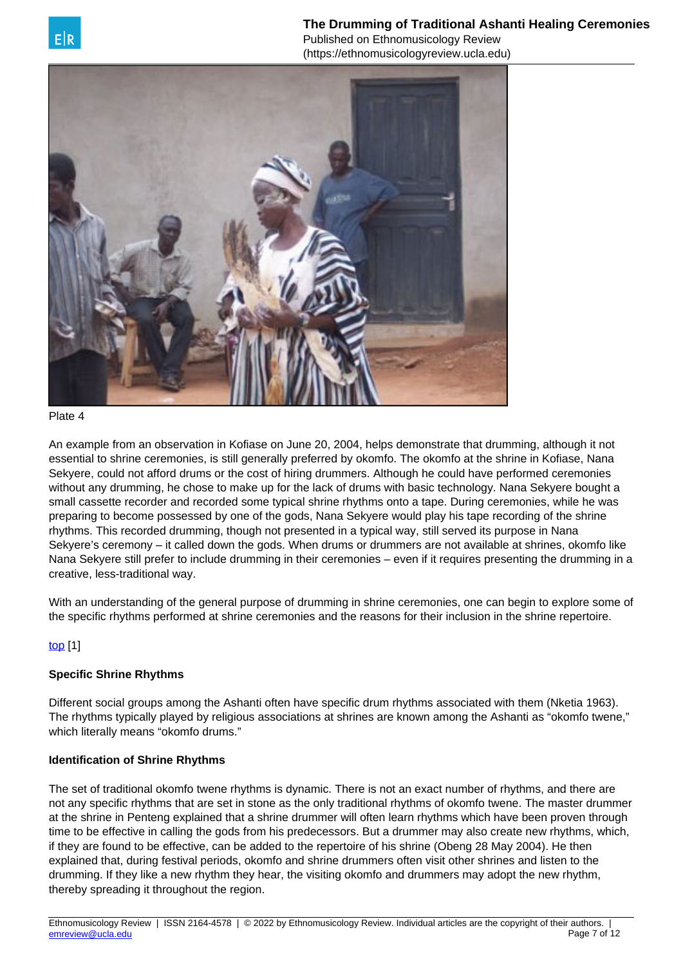



#### Plate 4

An example from an observation in Kofiase on June 20, 2004, helps demonstrate that drumming, although it not essential to shrine ceremonies, is still generally preferred by okomfo. The okomfo at the shrine in Kofiase, Nana Sekyere, could not afford drums or the cost of hiring drummers. Although he could have performed ceremonies without any drumming, he chose to make up for the lack of drums with basic technology. Nana Sekyere bought a small cassette recorder and recorded some typical shrine rhythms onto a tape. During ceremonies, while he was preparing to become possessed by one of the gods, Nana Sekyere would play his tape recording of the shrine rhythms. This recorded drumming, though not presented in a typical way, still served its purpose in Nana Sekyere's ceremony – it called down the gods. When drums or drummers are not available at shrines, okomfo like Nana Sekyere still prefer to include drumming in their ceremonies – even if it requires presenting the drumming in a creative, less-traditional way.

With an understanding of the general purpose of drumming in shrine ceremonies, one can begin to explore some of the specific rhythms performed at shrine ceremonies and the reasons for their inclusion in the shrine repertoire.

## [top](https://ethnomusicologyreview.ucla.edu/V11Wilson.html) [1]

## **Specific Shrine Rhythms**

Different social groups among the Ashanti often have specific drum rhythms associated with them (Nketia 1963). The rhythms typically played by religious associations at shrines are known among the Ashanti as "okomfo twene," which literally means "okomfo drums."

## **Identification of Shrine Rhythms**

The set of traditional okomfo twene rhythms is dynamic. There is not an exact number of rhythms, and there are not any specific rhythms that are set in stone as the only traditional rhythms of okomfo twene. The master drummer at the shrine in Penteng explained that a shrine drummer will often learn rhythms which have been proven through time to be effective in calling the gods from his predecessors. But a drummer may also create new rhythms, which, if they are found to be effective, can be added to the repertoire of his shrine (Obeng 28 May 2004). He then explained that, during festival periods, okomfo and shrine drummers often visit other shrines and listen to the drumming. If they like a new rhythm they hear, the visiting okomfo and drummers may adopt the new rhythm, thereby spreading it throughout the region.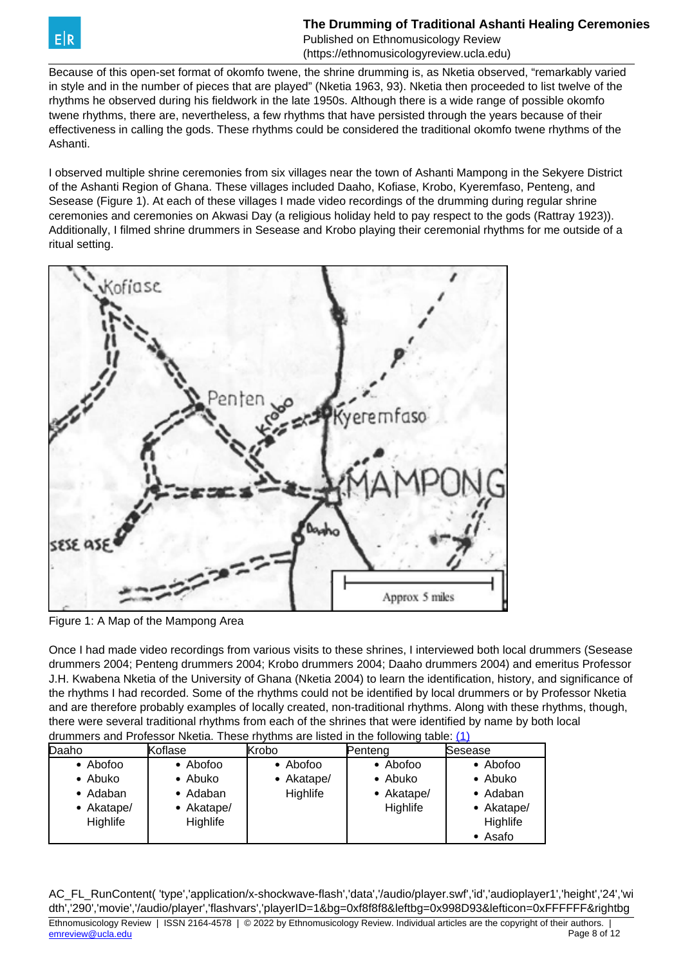<span id="page-7-0"></span>

Because of this open-set format of okomfo twene, the shrine drumming is, as Nketia observed, "remarkably varied in style and in the number of pieces that are played" (Nketia 1963, 93). Nketia then proceeded to list twelve of the rhythms he observed during his fieldwork in the late 1950s. Although there is a wide range of possible okomfo twene rhythms, there are, nevertheless, a few rhythms that have persisted through the years because of their effectiveness in calling the gods. These rhythms could be considered the traditional okomfo twene rhythms of the Ashanti.

I observed multiple shrine ceremonies from six villages near the town of Ashanti Mampong in the Sekyere District of the Ashanti Region of Ghana. These villages included Daaho, Kofiase, Krobo, Kyeremfaso, Penteng, and Sesease (Figure 1). At each of these villages I made video recordings of the drumming during regular shrine ceremonies and ceremonies on Akwasi Day (a religious holiday held to pay respect to the gods (Rattray 1923)). Additionally, I filmed shrine drummers in Sesease and Krobo playing their ceremonial rhythms for me outside of a ritual setting.



Figure 1: A Map of the Mampong Area

Once I had made video recordings from various visits to these shrines, I interviewed both local drummers (Sesease drummers 2004; Penteng drummers 2004; Krobo drummers 2004; Daaho drummers 2004) and emeritus Professor J.H. Kwabena Nketia of the University of Ghana (Nketia 2004) to learn the identification, history, and significance of the rhythms I had recorded. Some of the rhythms could not be identified by local drummers or by Professor Nketia and are therefore probably examples of locally created, non-traditional rhythms. Along with these rhythms, though, there were several traditional rhythms from each of the shrines that were identified by name by both local drummers and Professor Nketia. These rhythms are listed in the following table: [\(1\)](#page-7-0)

| arammore and i rolessor ringua. These myunns are nated in the rollowing table. If I |                 |            |            |            |
|-------------------------------------------------------------------------------------|-----------------|------------|------------|------------|
| Daaho                                                                               | Koflase         | Krobo      | Pentena    | Sesease    |
| $\bullet$ Abofoo                                                                    | • Abofoo        | • Abofoo   | • Abofoo   | • Abofoo   |
| • Abuko                                                                             | • Abuko         | • Akatape/ | • Abuko    | • Abuko    |
| • Adaban                                                                            | • Adaban        | Highlife   | • Akatape/ | • Adaban   |
| • Akatape/                                                                          | • Akatape/      |            | Highlife   | • Akatape/ |
| Highlife                                                                            | <b>Highlife</b> |            |            | Highlife   |
|                                                                                     |                 |            |            | • Asafo    |

AC\_FL\_RunContent( 'type','application/x-shockwave-flash','data','/audio/player.swf','id','audioplayer1','height','24','wi dth','290','movie','/audio/player','flashvars','playerID=1&bg=0xf8f8f8&leftbg=0x998D93&lefticon=0xFFFFFF&rightbg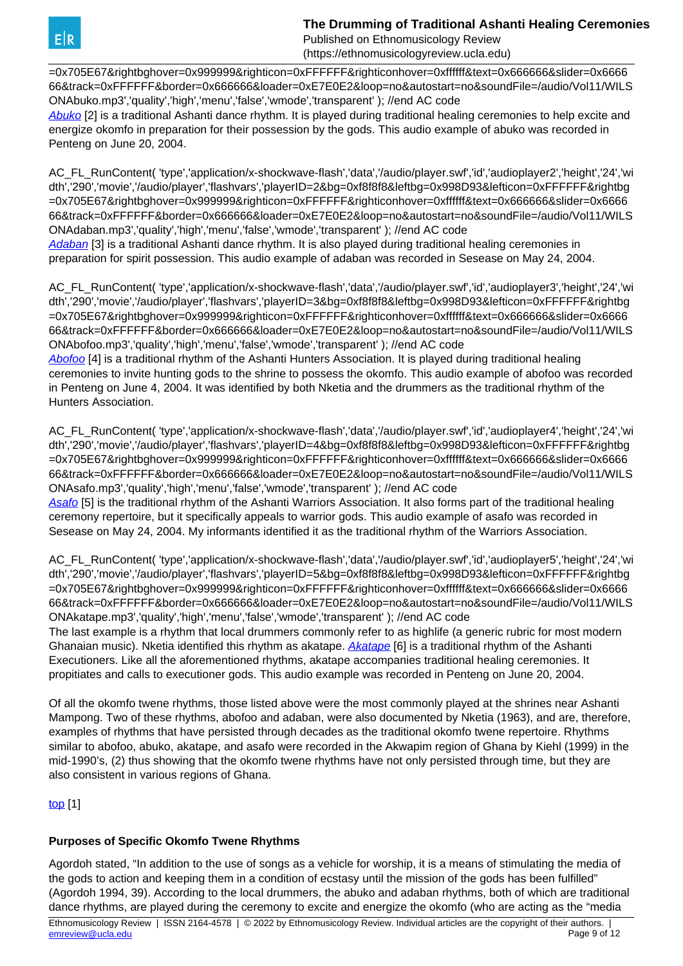Published on Ethnomusicology Review (https://ethnomusicologyreview.ucla.edu)

=0x705E67&rightbghover=0x999999&righticon=0xFFFFFF&righticonhover=0xffffff&text=0x666666&slider=0x6666 66&track=0xFFFFFF&border=0x666666&loader=0xE7E0E2&loop=no&autostart=no&soundFile=/audio/Vol11/WILS ONAbuko.mp3','quality','high','menu','false','wmode','transparent' ); //end AC code

[Abuko](https://ethnomusicologyreview.ucla.edu/V11WilsonAbuko.html) [2] is a traditional Ashanti dance rhythm. It is played during traditional healing ceremonies to help excite and energize okomfo in preparation for their possession by the gods. This audio example of abuko was recorded in Penteng on June 20, 2004.

AC\_FL\_RunContent( 'type','application/x-shockwave-flash','data','/audio/player.swf','id','audioplayer2','height','24','wi dth','290','movie','/audio/player','flashvars','playerID=2&bg=0xf8f8f8&leftbg=0x998D93&lefticon=0xFFFFFF&rightbg =0x705E67&rightbghover=0x999999&righticon=0xFFFFFF&righticonhover=0xffffff&text=0x666666&slider=0x6666 66&track=0xFFFFFF&border=0x666666&loader=0xE7E0E2&loop=no&autostart=no&soundFile=/audio/Vol11/WILS ONAdaban.mp3','quality','high','menu','false','wmode','transparent' ); //end AC code [Adaban](https://ethnomusicologyreview.ucla.edu/V11WilsonAdaban.html) [3] is a traditional Ashanti dance rhythm. It is also played during traditional healing ceremonies in

preparation for spirit possession. This audio example of adaban was recorded in Sesease on May 24, 2004.

AC\_FL\_RunContent( 'type','application/x-shockwave-flash','data','/audio/player.swf','id','audioplayer3','height','24','wi dth','290','movie','/audio/player','flashvars','playerID=3&bg=0xf8f8f8&leftbg=0x998D93&lefticon=0xFFFFFF&rightbg =0x705E67&rightbghover=0x999999&righticon=0xFFFFFF&righticonhover=0xffffff&text=0x666666&slider=0x6666 66&track=0xFFFFFF&border=0x666666&loader=0xE7E0E2&loop=no&autostart=no&soundFile=/audio/Vol11/WILS ONAbofoo.mp3','quality','high','menu','false','wmode','transparent' ); //end AC code

[Abofoo](https://ethnomusicologyreview.ucla.edu/V11WilsonAbofoo.html) [4] is a traditional rhythm of the Ashanti Hunters Association. It is played during traditional healing ceremonies to invite hunting gods to the shrine to possess the okomfo. This audio example of abofoo was recorded in Penteng on June 4, 2004. It was identified by both Nketia and the drummers as the traditional rhythm of the Hunters Association.

AC\_FL\_RunContent( 'type','application/x-shockwave-flash','data','/audio/player.swf','id','audioplayer4','height','24','wi dth','290','movie','/audio/player','flashvars','playerID=4&bg=0xf8f8f8&leftbg=0x998D93&lefticon=0xFFFFFF&rightbg =0x705E67&rightbghover=0x999999&righticon=0xFFFFFF&righticonhover=0xffffff&text=0x666666&slider=0x6666 66&track=0xFFFFFF&border=0x666666&loader=0xE7E0E2&loop=no&autostart=no&soundFile=/audio/Vol11/WILS ONAsafo.mp3','quality','high','menu','false','wmode','transparent' ); //end AC code

[Asafo](https://ethnomusicologyreview.ucla.edu/V11WilsonAsafo.html) [5] is the traditional rhythm of the Ashanti Warriors Association. It also forms part of the traditional healing ceremony repertoire, but it specifically appeals to warrior gods. This audio example of asafo was recorded in Sesease on May 24, 2004. My informants identified it as the traditional rhythm of the Warriors Association.

AC\_FL\_RunContent( 'type','application/x-shockwave-flash','data','/audio/player.swf','id','audioplayer5','height','24','wi dth','290','movie','/audio/player','flashvars','playerID=5&bg=0xf8f8f8&leftbg=0x998D93&lefticon=0xFFFFFF&rightbg =0x705E67&rightbghover=0x999999&righticon=0xFFFFFF&righticonhover=0xffffff&text=0x666666&slider=0x6666 66&track=0xFFFFFF&border=0x666666&loader=0xE7E0E2&loop=no&autostart=no&soundFile=/audio/Vol11/WILS ONAkatape.mp3','quality','high','menu','false','wmode','transparent' ); //end AC code

The last example is a rhythm that local drummers commonly refer to as highlife (a generic rubric for most modern Ghanaian music). Nketia identified this rhythm as akatape. [Akatape](https://ethnomusicologyreview.ucla.edu/V11WilsonAkatape.html) [6] is a traditional rhythm of the Ashanti Executioners. Like all the aforementioned rhythms, akatape accompanies traditional healing ceremonies. It propitiates and calls to executioner gods. This audio example was recorded in Penteng on June 20, 2004.

Of all the okomfo twene rhythms, those listed above were the most commonly played at the shrines near Ashanti Mampong. Two of these rhythms, abofoo and adaban, were also documented by Nketia (1963), and are, therefore, examples of rhythms that have persisted through decades as the traditional okomfo twene repertoire. Rhythms similar to abofoo, abuko, akatape, and asafo were recorded in the Akwapim region of Ghana by Kiehl (1999) in the mid-1990's, (2) thus showing that the okomfo twene rhythms have not only persisted through time, but they are also consistent in various regions of Ghana.

[top](https://ethnomusicologyreview.ucla.edu/V11Wilson.html) [1]

# **Purposes of Specific Okomfo Twene Rhythms**

Agordoh stated, "In addition to the use of songs as a vehicle for worship, it is a means of stimulating the media of the gods to action and keeping them in a condition of ecstasy until the mission of the gods has been fulfilled" (Agordoh 1994, 39). According to the local drummers, the abuko and adaban rhythms, both of which are traditional dance rhythms, are played during the ceremony to excite and energize the okomfo (who are acting as the "media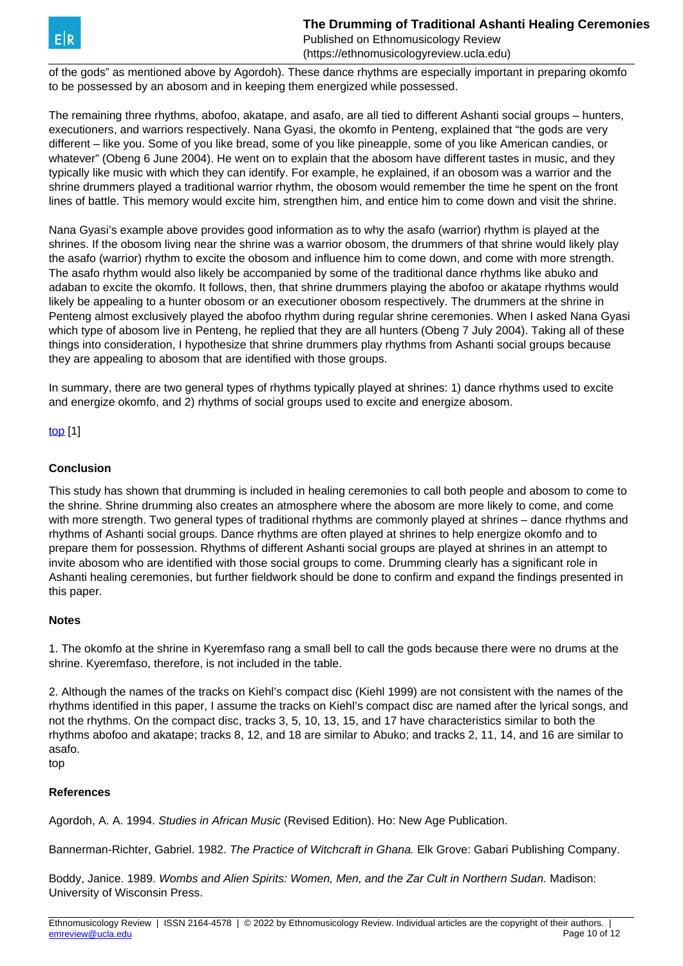of the gods" as mentioned above by Agordoh). These dance rhythms are especially important in preparing okomfo to be possessed by an abosom and in keeping them energized while possessed.

The remaining three rhythms, abofoo, akatape, and asafo, are all tied to different Ashanti social groups – hunters, executioners, and warriors respectively. Nana Gyasi, the okomfo in Penteng, explained that "the gods are very different – like you. Some of you like bread, some of you like pineapple, some of you like American candies, or whatever" (Obeng 6 June 2004). He went on to explain that the abosom have different tastes in music, and they typically like music with which they can identify. For example, he explained, if an obosom was a warrior and the shrine drummers played a traditional warrior rhythm, the obosom would remember the time he spent on the front lines of battle. This memory would excite him, strengthen him, and entice him to come down and visit the shrine.

Nana Gyasi's example above provides good information as to why the asafo (warrior) rhythm is played at the shrines. If the obosom living near the shrine was a warrior obosom, the drummers of that shrine would likely play the asafo (warrior) rhythm to excite the obosom and influence him to come down, and come with more strength. The asafo rhythm would also likely be accompanied by some of the traditional dance rhythms like abuko and adaban to excite the okomfo. It follows, then, that shrine drummers playing the abofoo or akatape rhythms would likely be appealing to a hunter obosom or an executioner obosom respectively. The drummers at the shrine in Penteng almost exclusively played the abofoo rhythm during regular shrine ceremonies. When I asked Nana Gyasi which type of abosom live in Penteng, he replied that they are all hunters (Obeng 7 July 2004). Taking all of these things into consideration, I hypothesize that shrine drummers play rhythms from Ashanti social groups because they are appealing to abosom that are identified with those groups.

In summary, there are two general types of rhythms typically played at shrines: 1) dance rhythms used to excite and energize okomfo, and 2) rhythms of social groups used to excite and energize abosom.

[top](https://ethnomusicologyreview.ucla.edu/V11Wilson.html) [1]

## **Conclusion**

This study has shown that drumming is included in healing ceremonies to call both people and abosom to come to the shrine. Shrine drumming also creates an atmosphere where the abosom are more likely to come, and come with more strength. Two general types of traditional rhythms are commonly played at shrines – dance rhythms and rhythms of Ashanti social groups. Dance rhythms are often played at shrines to help energize okomfo and to prepare them for possession. Rhythms of different Ashanti social groups are played at shrines in an attempt to invite abosom who are identified with those social groups to come. Drumming clearly has a significant role in Ashanti healing ceremonies, but further fieldwork should be done to confirm and expand the findings presented in this paper.

## **Notes**

1. The okomfo at the shrine in Kyeremfaso rang a small bell to call the gods because there were no drums at the shrine. Kyeremfaso, therefore, is not included in the table.

2. Although the names of the tracks on Kiehl's compact disc (Kiehl 1999) are not consistent with the names of the rhythms identified in this paper, I assume the tracks on Kiehl's compact disc are named after the lyrical songs, and not the rhythms. On the compact disc, tracks 3, 5, 10, 13, 15, and 17 have characteristics similar to both the rhythms abofoo and akatape; tracks 8, 12, and 18 are similar to Abuko; and tracks 2, 11, 14, and 16 are similar to asafo.

# top

## **References**

Agordoh, A. A. 1994. Studies in African Music (Revised Edition). Ho: New Age Publication.

Bannerman-Richter, Gabriel. 1982. The Practice of Witchcraft in Ghana. Elk Grove: Gabari Publishing Company.

Boddy, Janice. 1989. Wombs and Alien Spirits: Women, Men, and the Zar Cult in Northern Sudan. Madison: University of Wisconsin Press.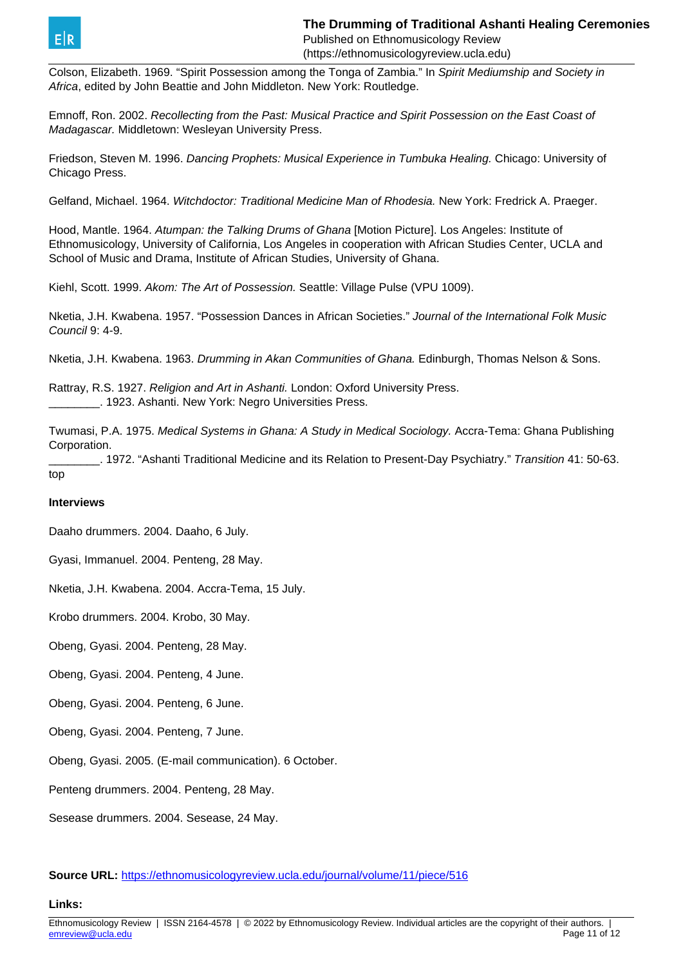

Colson, Elizabeth. 1969. "Spirit Possession among the Tonga of Zambia." In Spirit Mediumship and Society in Africa, edited by John Beattie and John Middleton. New York: Routledge.

Emnoff, Ron. 2002. Recollecting from the Past: Musical Practice and Spirit Possession on the East Coast of Madagascar. Middletown: Wesleyan University Press.

Friedson, Steven M. 1996. Dancing Prophets: Musical Experience in Tumbuka Healing. Chicago: University of Chicago Press.

Gelfand, Michael. 1964. Witchdoctor: Traditional Medicine Man of Rhodesia. New York: Fredrick A. Praeger.

Hood, Mantle. 1964. Atumpan: the Talking Drums of Ghana [Motion Picture]. Los Angeles: Institute of Ethnomusicology, University of California, Los Angeles in cooperation with African Studies Center, UCLA and School of Music and Drama, Institute of African Studies, University of Ghana.

Kiehl, Scott. 1999. Akom: The Art of Possession. Seattle: Village Pulse (VPU 1009).

Nketia, J.H. Kwabena. 1957. "Possession Dances in African Societies." Journal of the International Folk Music Council 9: 4-9.

Nketia, J.H. Kwabena. 1963. Drumming in Akan Communities of Ghana. Edinburgh, Thomas Nelson & Sons.

Rattray, R.S. 1927. Religion and Art in Ashanti. London: Oxford University Press. \_\_\_\_\_\_\_\_. 1923. Ashanti. New York: Negro Universities Press.

Twumasi, P.A. 1975. Medical Systems in Ghana: A Study in Medical Sociology. Accra-Tema: Ghana Publishing Corporation.

\_\_\_\_\_\_\_\_. 1972. "Ashanti Traditional Medicine and its Relation to Present-Day Psychiatry." Transition 41: 50-63. top

## **Interviews**

Daaho drummers. 2004. Daaho, 6 July.

Gyasi, Immanuel. 2004. Penteng, 28 May.

Nketia, J.H. Kwabena. 2004. Accra-Tema, 15 July.

Krobo drummers. 2004. Krobo, 30 May.

Obeng, Gyasi. 2004. Penteng, 28 May.

Obeng, Gyasi. 2004. Penteng, 4 June.

Obeng, Gyasi. 2004. Penteng, 6 June.

Obeng, Gyasi. 2004. Penteng, 7 June.

Obeng, Gyasi. 2005. (E-mail communication). 6 October.

Penteng drummers. 2004. Penteng, 28 May.

Sesease drummers. 2004. Sesease, 24 May.

**Source URL:** <https://ethnomusicologyreview.ucla.edu/journal/volume/11/piece/516>

**Links:**